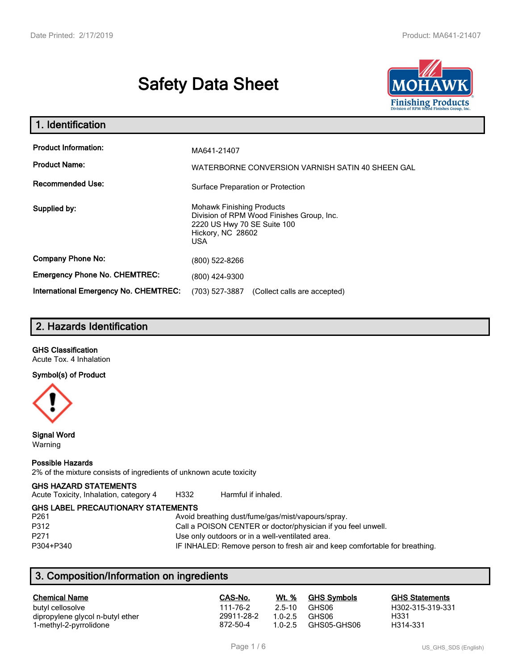# **Safety Data Sheet**



| 1. Identification                                                              |                                                                                                                                          |
|--------------------------------------------------------------------------------|------------------------------------------------------------------------------------------------------------------------------------------|
| <b>Product Information:</b><br><b>Product Name:</b><br><b>Recommended Use:</b> | MA641-21407<br>WATERBORNE CONVERSION VARNISH SATIN 40 SHEEN GAL                                                                          |
|                                                                                | Surface Preparation or Protection                                                                                                        |
| Supplied by:                                                                   | <b>Mohawk Finishing Products</b><br>Division of RPM Wood Finishes Group, Inc.<br>2220 US Hwy 70 SE Suite 100<br>Hickory, NC 28602<br>USA |
| <b>Company Phone No:</b>                                                       | (800) 522-8266                                                                                                                           |
| <b>Emergency Phone No. CHEMTREC:</b>                                           | (800) 424-9300                                                                                                                           |
| <b>International Emergency No. CHEMTREC:</b>                                   | (703) 527-3887<br>(Collect calls are accepted)                                                                                           |

## **2. Hazards Identification**

#### **GHS Classification**

Acute Tox. 4 Inhalation

#### **Symbol(s) of Product**



**Signal Word** Warning

#### **Possible Hazards**

2% of the mixture consists of ingredients of unknown acute toxicity

#### **GHS HAZARD STATEMENTS**

Acute Toxicity, Inhalation, category 4 H332 Harmful if inhaled.

## **GHS LABEL PRECAUTIONARY STATEMENTS**

P312 Call a POISON CENTER or doctor/physician if you feel unwell. P271 Use only outdoors or in a well-ventilated area.

# Avoid breathing dust/fume/gas/mist/vapours/spray. P304+P340 IF INHALED: Remove person to fresh air and keep comfortable for breathing.

## **3. Composition/Information on ingredients**

| <b>Chemical Name</b>             | CAS-No.    | Wt. %       | <b>GHS Symbols</b> | <b>GHS Statements</b> |
|----------------------------------|------------|-------------|--------------------|-----------------------|
| butyl cellosolve                 | 111-76-2   | $25-10$     | GHS06              | H302-315-319-331      |
| dipropylene glycol n-butyl ether | 29911-28-2 | $10-25$     | GHS06              | H331                  |
| 1-methyl-2-pyrrolidone           | 872-50-4   | $1.0 - 2.5$ | GHS05-GHS06        | H314-331              |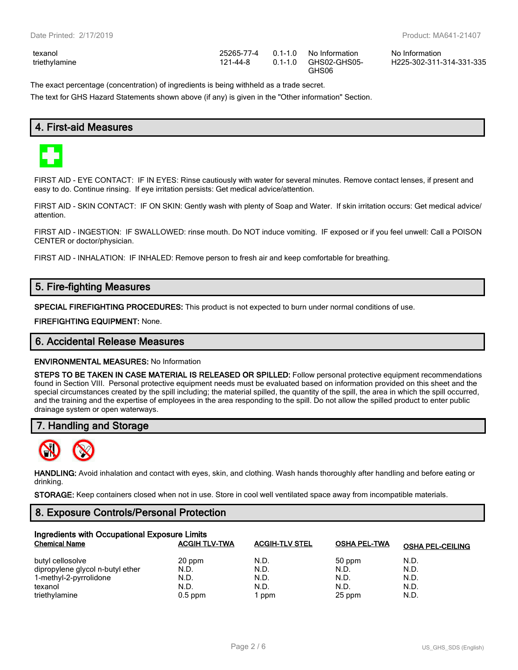| exanol       |  |
|--------------|--|
| riethylamine |  |

| texanol       |          | 25265-77-4   0.1-1.0   No Information | No Information |
|---------------|----------|---------------------------------------|----------------|
| triethylamine | 121-44-8 | 0.1-1.0 GHS02-GHS05-                  | H225-302-311   |
|               |          | GHS06                                 |                |

H225-302-311-314-331-335

The exact percentage (concentration) of ingredients is being withheld as a trade secret.

The text for GHS Hazard Statements shown above (if any) is given in the "Other information" Section.

## **4. First-aid Measures**



FIRST AID - EYE CONTACT: IF IN EYES: Rinse cautiously with water for several minutes. Remove contact lenses, if present and easy to do. Continue rinsing. If eye irritation persists: Get medical advice/attention.

FIRST AID - SKIN CONTACT: IF ON SKIN: Gently wash with plenty of Soap and Water. If skin irritation occurs: Get medical advice/ attention.

FIRST AID - INGESTION: IF SWALLOWED: rinse mouth. Do NOT induce vomiting. IF exposed or if you feel unwell: Call a POISON CENTER or doctor/physician.

FIRST AID - INHALATION: IF INHALED: Remove person to fresh air and keep comfortable for breathing.

## **5. Fire-fighting Measures**

**SPECIAL FIREFIGHTING PROCEDURES:** This product is not expected to burn under normal conditions of use.

**FIREFIGHTING EQUIPMENT:** None.

#### **6. Accidental Release Measures**

**ENVIRONMENTAL MEASURES:** No Information

**STEPS TO BE TAKEN IN CASE MATERIAL IS RELEASED OR SPILLED:** Follow personal protective equipment recommendations found in Section VIII. Personal protective equipment needs must be evaluated based on information provided on this sheet and the special circumstances created by the spill including; the material spilled, the quantity of the spill, the area in which the spill occurred, and the training and the expertise of employees in the area responding to the spill. Do not allow the spilled product to enter public drainage system or open waterways.

## **7. Handling and Storage**



**HANDLING:** Avoid inhalation and contact with eyes, skin, and clothing. Wash hands thoroughly after handling and before eating or drinking.

**STORAGE:** Keep containers closed when not in use. Store in cool well ventilated space away from incompatible materials.

## **8. Exposure Controls/Personal Protection**

| Ingredients with Occupational Exposure Limits |                      |                       |                     |                         |  |
|-----------------------------------------------|----------------------|-----------------------|---------------------|-------------------------|--|
| <b>Chemical Name</b>                          | <b>ACGIH TLV-TWA</b> | <b>ACGIH-TLV STEL</b> | <b>OSHA PEL-TWA</b> | <b>OSHA PEL-CEILING</b> |  |
| butyl cellosolve                              | 20 ppm               | N.D.                  | 50 ppm              | N.D.                    |  |
| dipropylene glycol n-butyl ether              | N.D.                 | N.D.                  | N.D.                | N.D.                    |  |
| 1-methyl-2-pyrrolidone                        | N.D.                 | N.D.                  | N.D.                | N.D.                    |  |
| texanol                                       | N.D.                 | N.D.                  | N.D.                | N.D.                    |  |
| triethylamine                                 | $0.5$ ppm            | ppm                   | 25 ppm              | N.D.                    |  |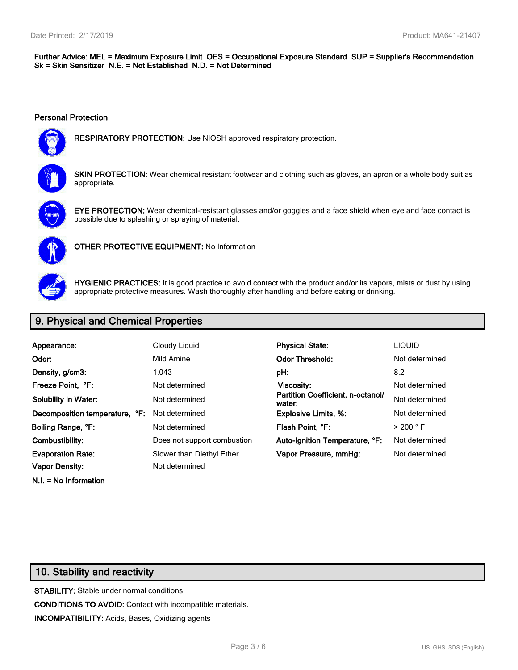#### **Further Advice: MEL = Maximum Exposure Limit OES = Occupational Exposure Standard SUP = Supplier's Recommendation Sk = Skin Sensitizer N.E. = Not Established N.D. = Not Determined**

#### **Personal Protection**



**RESPIRATORY PROTECTION:** Use NIOSH approved respiratory protection.



**SKIN PROTECTION:** Wear chemical resistant footwear and clothing such as gloves, an apron or a whole body suit as appropriate.



**EYE PROTECTION:** Wear chemical-resistant glasses and/or goggles and a face shield when eye and face contact is possible due to splashing or spraying of material.



**OTHER PROTECTIVE EQUIPMENT:** No Information



**HYGIENIC PRACTICES:** It is good practice to avoid contact with the product and/or its vapors, mists or dust by using appropriate protective measures. Wash thoroughly after handling and before eating or drinking.

## **9. Physical and Chemical Properties**

| Appearance:                    | Cloudy Liquid               | <b>Physical State:</b>                      | <b>LIQUID</b>        |
|--------------------------------|-----------------------------|---------------------------------------------|----------------------|
| Odor:                          | Mild Amine                  | <b>Odor Threshold:</b>                      | Not determined       |
| Density, g/cm3:                | 1.043                       | pH:                                         | 8.2                  |
| Freeze Point. °F:              | Not determined              | <b>Viscosity:</b>                           | Not determined       |
| <b>Solubility in Water:</b>    | Not determined              | Partition Coefficient, n-octanol/<br>water: | Not determined       |
| Decomposition temperature, °F: | Not determined              | <b>Explosive Limits, %:</b>                 | Not determined       |
| Boiling Range, °F:             | Not determined              | Flash Point, °F:                            | $>$ 200 $^{\circ}$ F |
| Combustibility:                | Does not support combustion | Auto-Ignition Temperature, °F:              | Not determined       |
| <b>Evaporation Rate:</b>       | Slower than Diethyl Ether   | Vapor Pressure, mmHg:                       | Not determined       |
| <b>Vapor Density:</b>          | Not determined              |                                             |                      |
| $N.I. = No$ Information        |                             |                                             |                      |

## **10. Stability and reactivity**

**STABILITY:** Stable under normal conditions. **CONDITIONS TO AVOID:** Contact with incompatible materials. **INCOMPATIBILITY:** Acids, Bases, Oxidizing agents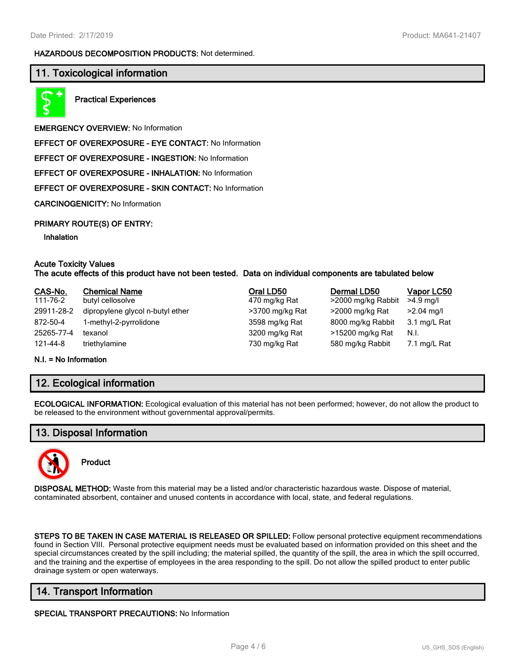#### **HAZARDOUS DECOMPOSITION PRODUCTS:** Not determined.

## **11. Toxicological information**



**Practical Experiences**

**EMERGENCY OVERVIEW:** No Information

**EFFECT OF OVEREXPOSURE - EYE CONTACT:** No Information

**EFFECT OF OVEREXPOSURE - INGESTION:** No Information

**EFFECT OF OVEREXPOSURE - INHALATION:** No Information

**EFFECT OF OVEREXPOSURE - SKIN CONTACT:** No Information

**CARCINOGENICITY:** No Information

#### **PRIMARY ROUTE(S) OF ENTRY:**

#### **Inhalation**

#### **Acute Toxicity Values The acute effects of this product have not been tested. Data on individual components are tabulated below**

| CAS-No.                   | <b>Chemical Name</b>             | Oral LD50       | Dermal LD50        | Vapor LC50   |
|---------------------------|----------------------------------|-----------------|--------------------|--------------|
| 111-76-2                  | butyl cellosolve                 | 470 mg/kg Rat   | >2000 mg/kg Rabbit | $>4.9$ mg/l  |
| 29911-28-2                | dipropylene glycol n-butyl ether | >3700 mg/kg Rat | >2000 mg/kg Rat    | $>2.04$ mg/l |
| 872-50-4                  | 1-methyl-2-pyrrolidone           | 3598 mg/kg Rat  | 8000 mg/kg Rabbit  | 3.1 mg/L Rat |
| 25265-77-4                | texanol                          | 3200 mg/kg Rat  | >15200 mg/kg Rat   | N.I.         |
| 121-44-8                  | triethylamine                    | 730 mg/kg Rat   | 580 mg/kg Rabbit   | 7.1 mg/L Rat |
| $M = - M$ and $M$ and $M$ |                                  |                 |                    |              |

#### **N.I. = No Information**

## **12. Ecological information**

**ECOLOGICAL INFORMATION:** Ecological evaluation of this material has not been performed; however, do not allow the product to be released to the environment without governmental approval/permits.

## **13. Disposal Information**



**Product**

**DISPOSAL METHOD:** Waste from this material may be a listed and/or characteristic hazardous waste. Dispose of material, contaminated absorbent, container and unused contents in accordance with local, state, and federal regulations.

**STEPS TO BE TAKEN IN CASE MATERIAL IS RELEASED OR SPILLED:** Follow personal protective equipment recommendations found in Section VIII. Personal protective equipment needs must be evaluated based on information provided on this sheet and the special circumstances created by the spill including; the material spilled, the quantity of the spill, the area in which the spill occurred, and the training and the expertise of employees in the area responding to the spill. Do not allow the spilled product to enter public drainage system or open waterways.

## **14. Transport Information**

**SPECIAL TRANSPORT PRECAUTIONS:** No Information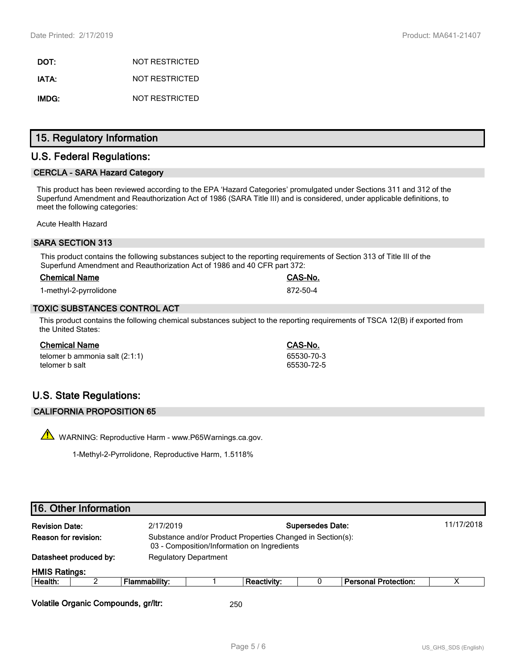**DOT:** NOT RESTRICTED **IATA:** NOT RESTRICTED **IMDG:** NOT RESTRICTED

## **15. Regulatory Information**

## **U.S. Federal Regulations:**

#### **CERCLA - SARA Hazard Category**

This product has been reviewed according to the EPA 'Hazard Categories' promulgated under Sections 311 and 312 of the Superfund Amendment and Reauthorization Act of 1986 (SARA Title III) and is considered, under applicable definitions, to meet the following categories:

Acute Health Hazard

#### **SARA SECTION 313**

This product contains the following substances subject to the reporting requirements of Section 313 of Title III of the Superfund Amendment and Reauthorization Act of 1986 and 40 CFR part 372:

#### **Chemical Name CAS-No.**

1-methyl-2-pyrrolidone 872-50-4

#### **TOXIC SUBSTANCES CONTROL ACT**

This product contains the following chemical substances subject to the reporting requirements of TSCA 12(B) if exported from the United States:

#### **Chemical Name CAS-No.**

| telomer b ammonia salt $(2:1:1)$ |  |
|----------------------------------|--|
| telomer b salt                   |  |

## **U.S. State Regulations:**

#### **CALIFORNIA PROPOSITION 65**

 $\sqrt{\phantom{a}}\phantom{a}$  WARNING: Reproductive Harm - www.P65Warnings.ca.gov.

1-Methyl-2-Pyrrolidone, Reproductive Harm, 1.5118%

## **16. Other Information**

| <b>Revision Date:</b>       | 2/17/2019                                                                                                 |  |                              |  |                             | 11/17/2018              |
|-----------------------------|-----------------------------------------------------------------------------------------------------------|--|------------------------------|--|-----------------------------|-------------------------|
| <b>Reason for revision:</b> | Substance and/or Product Properties Changed in Section(s):<br>03 - Composition/Information on Ingredients |  |                              |  |                             |                         |
| Datasheet produced by:      |                                                                                                           |  |                              |  |                             |                         |
| <b>HMIS Ratings:</b>        |                                                                                                           |  |                              |  |                             |                         |
|                             | Flammability:                                                                                             |  | <b>Reactivity:</b>           |  | <b>Personal Protection:</b> |                         |
|                             |                                                                                                           |  | <b>Regulatory Department</b> |  |                             | <b>Supersedes Date:</b> |

**Volatile Organic Compounds, gr/ltr:** 250

65530-70-3 65530-72-5